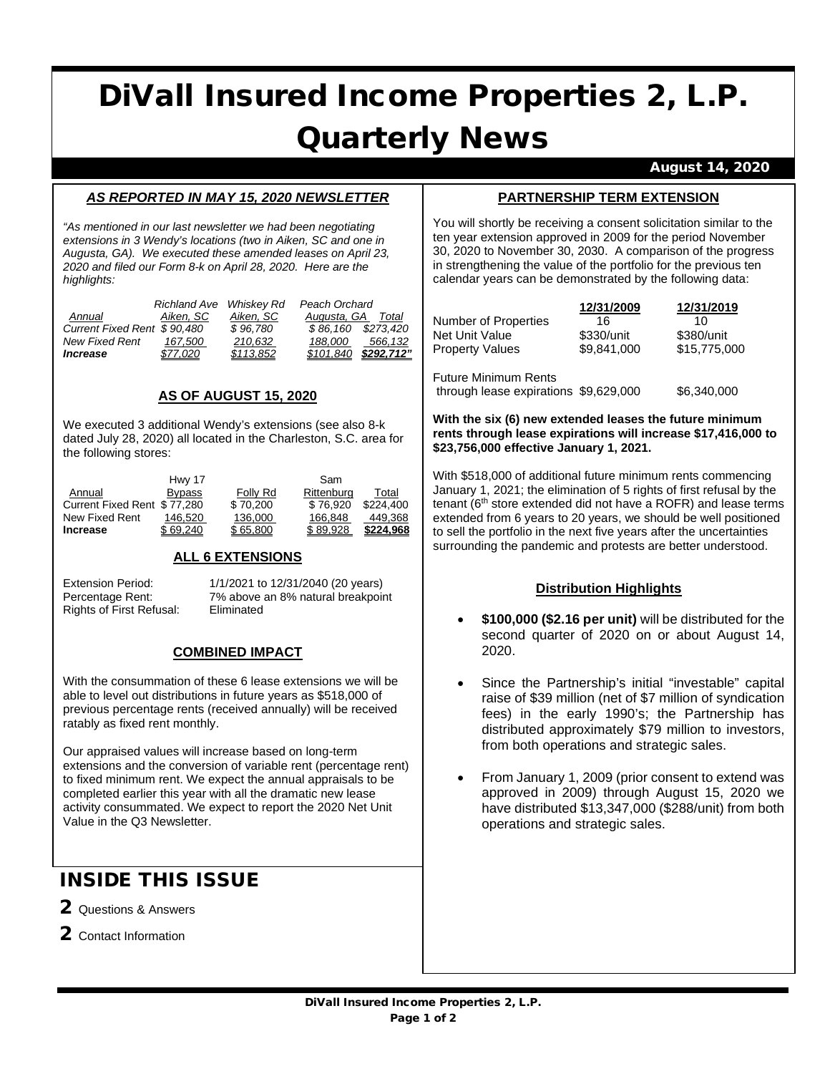# DiVall Insured Income Properties 2, L.P. Quarterly News

August 14, 2020

#### *AS REPORTED IN MAY 15, 2020 NEWSLETTER*

*"As mentioned in our last newsletter we had been negotiating extensions in 3 Wendy's locations (two in Aiken, SC and one in Augusta, GA). We executed these amended leases on April 23, 2020 and filed our Form 8-k on April 28, 2020. Here are the highlights:*

|                             | Richland Ave Whiskey Rd |           | Peach Orchard      |            |
|-----------------------------|-------------------------|-----------|--------------------|------------|
| Annual                      | Aiken. SC               | Aiken, SC | Augusta, GA        | Total      |
| Current Fixed Rent \$90.480 |                         | \$96.780  | \$86.160 \$273.420 |            |
| New Fixed Rent              | 167.500                 | 210.632   | 188.000            | 566.132    |
| <i><b>Increase</b></i>      | \$77.020                | \$113.852 | \$101.840          | \$292.712" |

#### **AS OF AUGUST 15, 2020**

We executed 3 additional Wendy's extensions (see also 8-k dated July 28, 2020) all located in the Charleston, S.C. area for the following stores:

|                             | Hwy 17        | Sam      |            |           |
|-----------------------------|---------------|----------|------------|-----------|
| Annual                      | <b>Bypass</b> | Folly Rd | Rittenburg | Total     |
| Current Fixed Rent \$77,280 |               | \$70.200 | \$76.920   | \$224,400 |
| New Fixed Rent              | 146.520       | 136,000  | 166.848    | 449.368   |
| <b>Increase</b>             | \$69.240      | \$65,800 | \$89.928   | \$224.968 |

#### **ALL 6 EXTENSIONS**

Rights of First Refusal:

Extension Period: 1/1/2021 to 12/31/2040 (20 years) Percentage Rent: 7% above an 8% natural breakpoint<br>Rights of First Refusal: Eliminated

#### **COMBINED IMPACT**

With the consummation of these 6 lease extensions we will be able to level out distributions in future years as \$518,000 of previous percentage rents (received annually) will be received ratably as fixed rent monthly.

Our appraised values will increase based on long-term extensions and the conversion of variable rent (percentage rent) to fixed minimum rent. We expect the annual appraisals to be completed earlier this year with all the dramatic new lease activity consummated. We expect to report the 2020 Net Unit Value in the Q3 Newsletter.

## INSIDE THIS ISSUE

- 2 Questions & Answers
- 2 Contact Information

#### **PARTNERSHIP TERM EXTENSION**

You will shortly be receiving a consent solicitation similar to the ten year extension approved in 2009 for the period November 30, 2020 to November 30, 2030. A comparison of the progress in strengthening the value of the portfolio for the previous ten calendar years can be demonstrated by the following data:

|                                       | 12/31/2009  | 12/31/2019   |
|---------------------------------------|-------------|--------------|
| Number of Properties                  | 16          | 10           |
| Net Unit Value                        | \$330/unit  | \$380/unit   |
| <b>Property Values</b>                | \$9.841.000 | \$15,775,000 |
| <b>Future Minimum Rents</b>           |             |              |
| through lease expirations \$9,629,000 |             | \$6,340,000  |

#### **With the six (6) new extended leases the future minimum rents through lease expirations will increase \$17,416,000 to \$23,756,000 effective January 1, 2021.**

With \$518,000 of additional future minimum rents commencing January 1, 2021; the elimination of 5 rights of first refusal by the tenant (6<sup>th</sup> store extended did not have a ROFR) and lease terms extended from 6 years to 20 years, we should be well positioned to sell the portfolio in the next five years after the uncertainties surrounding the pandemic and protests are better understood.

#### **Distribution Highlights**

- **\$100,000 (\$2.16 per unit)** will be distributed for the second quarter of 2020 on or about August 14, 2020.
- Since the Partnership's initial "investable" capital raise of \$39 million (net of \$7 million of syndication fees) in the early 1990's; the Partnership has distributed approximately \$79 million to investors, from both operations and strategic sales.
- From January 1, 2009 (prior consent to extend was approved in 2009) through August 15, 2020 we have distributed \$13,347,000 (\$288/unit) from both operations and strategic sales.